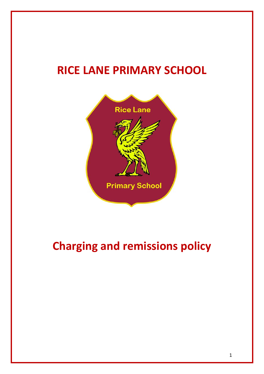# **RICE LANE PRIMARY SCHOOL**



# **Charging and remissions policy**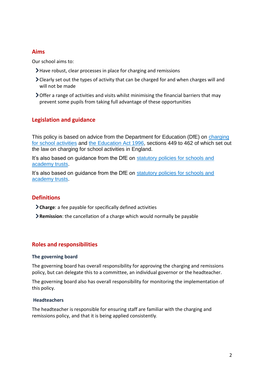## **Aims**

Our school aims to:

- Have robust, clear processes in place for charging and remissions
- Clearly set out the types of activity that can be charged for and when charges will and will not be made
- $\triangleright$  Offer a range of activities and visits whilst minimising the financial barriers that may prevent some pupils from taking full advantage of these opportunities

## **Legislation and guidance**

This policy is based on advice from the Department for Education (DfE) on charging [for school activities](https://www.gov.uk/government/publications/charging-for-school-activities) and [the Education Act 1996,](http://www.legislation.gov.uk/ukpga/1996/56/part/VI/chapter/III) sections 449 to 462 of which set out the law on charging for school activities in England.

It's also based on guidance from the DfE on statutory policies for schools and [academy trusts.](https://www.gov.uk/government/publications/statutory-policies-for-schools-and-academy-trusts/statutory-policies-for-schools-and-academy-trusts)

It's also based on guidance from the DfE on statutory policies for schools and [academy trusts.](https://www.gov.uk/government/publications/statutory-policies-for-schools-and-academy-trusts/statutory-policies-for-schools-and-academy-trusts)

## **Definitions**

**Charge**: a fee payable for specifically defined activities

**Remission**: the cancellation of a charge which would normally be payable

## **Roles and responsibilities**

#### **The governing board**

The governing board has overall responsibility for approving the charging and remissions policy, but can delegate this to a committee, an individual governor or the headteacher.

The governing board also has overall responsibility for monitoring the implementation of this policy.

#### **Headteachers**

The headteacher is responsible for ensuring staff are familiar with the charging and remissions policy, and that it is being applied consistently.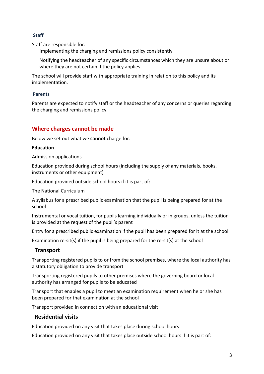### **Staff**

Staff are responsible for:

Implementing the charging and remissions policy consistently

Notifying the headteacher of any specific circumstances which they are unsure about or where they are not certain if the policy applies

The school will provide staff with appropriate training in relation to this policy and its implementation.

#### **Parents**

Parents are expected to notify staff or the headteacher of any concerns or queries regarding the charging and remissions policy.

## **Where charges cannot be made**

Below we set out what we **cannot** charge for:

#### **Education**

Admission applications

Education provided during school hours (including the supply of any materials, books, instruments or other equipment)

Education provided outside school hours if it is part of:

The National Curriculum

A syllabus for a prescribed public examination that the pupil is being prepared for at the school

Instrumental or vocal tuition, for pupils learning individually or in groups, unless the tuition is provided at the request of the pupil's parent

Entry for a prescribed public examination if the pupil has been prepared for it at the school

Examination re-sit(s) if the pupil is being prepared for the re-sit(s) at the school

## **Transport**

Transporting registered pupils to or from the school premises, where the local authority has a statutory obligation to provide transport

Transporting registered pupils to other premises where the governing board or local authority has arranged for pupils to be educated

Transport that enables a pupil to meet an examination requirement when he or she has been prepared for that examination at the school

Transport provided in connection with an educational visit

## **Residential visits**

Education provided on any visit that takes place during school hours

Education provided on any visit that takes place outside school hours if it is part of: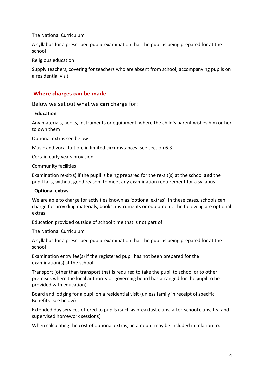#### The National Curriculum

A syllabus for a prescribed public examination that the pupil is being prepared for at the school

Religious education

Supply teachers, covering for teachers who are absent from school, accompanying pupils on a residential visit

## **Where charges can be made**

Below we set out what we **can** charge for:

#### **Education**

Any materials, books, instruments or equipment, where the child's parent wishes him or her to own them

Optional extras see below

Music and vocal tuition, in limited circumstances (see section 6.3)

Certain early years provision

Community facilities

Examination re-sit(s) if the pupil is being prepared for the re-sit(s) at the school **and** the pupil fails, without good reason, to meet any examination requirement for a syllabus

#### **Optional extras**

We are able to charge for activities known as 'optional extras'. In these cases, schools can charge for providing materials, books, instruments or equipment. The following are optional extras:

Education provided outside of school time that is not part of:

The National Curriculum

A syllabus for a prescribed public examination that the pupil is being prepared for at the school

Examination entry fee(s) if the registered pupil has not been prepared for the examination(s) at the school

Transport (other than transport that is required to take the pupil to school or to other premises where the local authority or governing board has arranged for the pupil to be provided with education)

Board and lodging for a pupil on a residential visit (unless family in receipt of specific Benefits- see below)

Extended day services offered to pupils (such as breakfast clubs, after-school clubs, tea and supervised homework sessions)

When calculating the cost of optional extras, an amount may be included in relation to: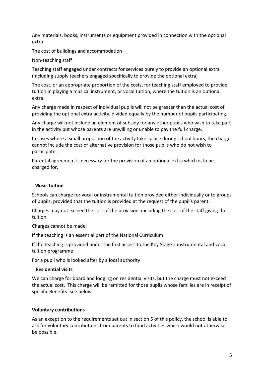Any materials, books, instruments or equipment provided in connection with the optional extra

The cost of buildings and accommodation

#### Non-teaching staff

Teaching staff engaged under contracts for services purely to provide an optional extra (including supply teachers engaged specifically to provide the optional extra)

The cost, or an appropriate proportion of the costs, for teaching staff employed to provide tuition in playing a musical instrument, or vocal tuition, where the tuition is an optional extra

Any charge made in respect of individual pupils will not be greater than the actual cost of providing the optional extra activity, divided equally by the number of pupils participating.

Any charge will not include an element of subsidy for any other pupils who wish to take part in the activity but whose parents are unwilling or unable to pay the full charge.

In cases where a small proportion of the activity takes place during school hours, the charge cannot include the cost of alternative provision for those pupils who do not wish to participate.

Parental agreement is necessary for the provision of an optional extra which is to be charged for.

#### **Music tuition**

Schools can charge for vocal or instrumental tuition provided either individually or to groups of pupils, provided that the tuition is provided at the request of the pupil's parent.

Charges may not exceed the cost of the provision, including the cost of the staff giving the tuition.

Charges cannot be made:

If the teaching is an essential part of the National Curriculum

If the teaching is provided under the first access to the Key Stage 2 instrumental and vocal tuition programme

For a pupil who is looked after by a local authority

#### **Residential visits**

We can charge for board and lodging on residential visits, but the charge must not exceed the actual cost. This charge will be remitted for those pupils whose families are in receipt of specific Benefits -see below

#### **Voluntary contributions**

As an exception to the requirements set out in section 5 of this policy, the school is able to ask for voluntary contributions from parents to fund activities which would not otherwise be possible.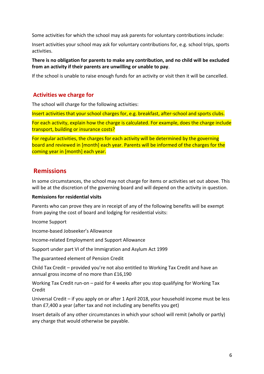Some activities for which the school may ask parents for voluntary contributions include:

Insert activities your school may ask for voluntary contributions for, e.g. school trips, sports activities.

**There is no obligation for parents to make any contribution, and no child will be excluded from an activity if their parents are unwilling or unable to pay**.

If the school is unable to raise enough funds for an activity or visit then it will be cancelled.

### **Activities we charge for**

The school will charge for the following activities:

Insert activities that your school charges for, e.g. breakfast, after-school and sports clubs.

For each activity, explain how the charge is calculated. For example, does the charge include transport, building or insurance costs?

For regular activities, the charges for each activity will be determined by the governing board and reviewed in [month] each year. Parents will be informed of the charges for the coming year in [month] each year.

## **Remissions**

In some circumstances, the school may not charge for items or activities set out above. This will be at the discretion of the governing board and will depend on the activity in question.

#### **Remissions for residential visits**

Parents who can prove they are in receipt of any of the following benefits will be exempt from paying the cost of board and lodging for residential visits:

Income Support

Income-based Jobseeker's Allowance

Income-related Employment and Support Allowance

Support under part VI of the Immigration and Asylum Act 1999

The guaranteed element of Pension Credit

Child Tax Credit – provided you're not also entitled to Working Tax Credit and have an annual gross income of no more than £16,190

Working Tax Credit run-on – paid for 4 weeks after you stop qualifying for Working Tax Credit

Universal Credit – if you apply on or after 1 April 2018, your household income must be less than £7,400 a year (after tax and not including any benefits you get)

Insert details of any other circumstances in which your school will remit (wholly or partly) any charge that would otherwise be payable.